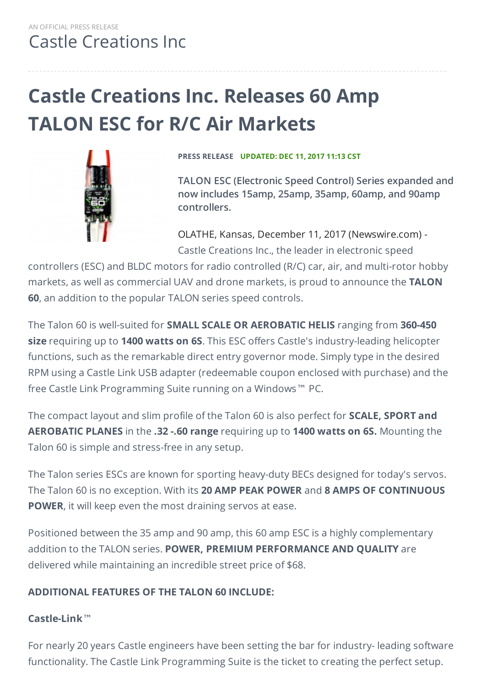# **Castle Creations Inc. Releases 60 Amp TALON ESC for R/C Air Markets**



**PRESS RELEASE UPDATED: DEC 11, 2017 11:13 CST**

**TALON ESC (Electronic Speed Control) Series expanded and now includes 15amp, 25amp, 35amp, 60amp, and 90amp controllers.**

OLATHE, Kansas, December 11, 2017 (Newswire.com) - Castle Creations Inc., the leader in electronic speed

controllers (ESC) and BLDC motors for radio controlled (R/C) car, air, and multi-rotor hobby markets, as well as commercial UAV and drone markets, is proud to announce the **TALON 60**, an addition to the popular TALON series speed controls.

The Talon 60 is well-suited for **SMALL SCALE OR AEROBATIC HELIS** ranging from **360-450 size** requiring up to **1400 watts on 6S**. This ESC offers Castle's industry-leading helicopter functions, such as the remarkable direct entry governor mode. Simply type in the desired RPM using a Castle Link USB adapter (redeemable coupon enclosed with purchase) and the free Castle Link Programming Suite running on a Windows™ PC.

The compact layout and slim profile of the Talon 60 is also perfect for **SCALE, SPORT and AEROBATIC PLANES** in the **.32 -.60 range** requiring up to **1400 watts on 6S.** Mounting the Talon 60 is simple and stress-free in any setup.

The Talon series ESCs are known for sporting heavy-duty BECs designed for today's servos. The Talon 60 is no exception. With its **20 AMP PEAK POWER** and **8 AMPS OF CONTINUOUS POWER**, it will keep even the most draining servos at ease.

Positioned between the 35 amp and 90 amp, this 60 amp ESC is a highly complementary addition to the TALON series. **POWER, PREMIUM PERFORMANCE AND QUALITY** are delivered while maintaining an incredible street price of \$68.

#### **ADDITIONAL FEATURES OF THE TALON 60 INCLUDE:**

#### **Castle-Link**™

For nearly 20 years Castle engineers have been setting the bar for industry- leading software functionality. The Castle Link Programming Suite is the ticket to creating the perfect setup.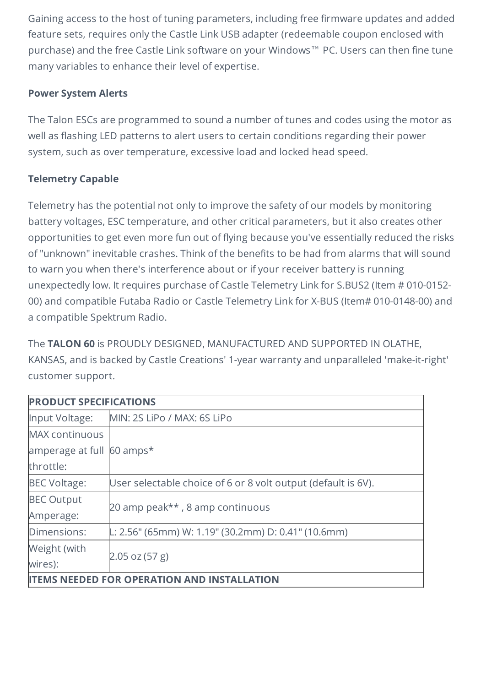Gaining access to the host of tuning parameters, including free firmware updates and added feature sets, requires only the Castle Link USB adapter (redeemable coupon enclosed with purchase) and the free Castle Link software on your Windows™ PC. Users can then fine tune many variables to enhance their level of expertise.

#### **Power System Alerts**

The Talon ESCs are programmed to sound a number of tunes and codes using the motor as well as flashing LED patterns to alert users to certain conditions regarding their power system, such as over temperature, excessive load and locked head speed.

#### **Telemetry Capable**

Telemetry has the potential not only to improve the safety of our models by monitoring battery voltages, ESC temperature, and other critical parameters, but it also creates other opportunities to get even more fun out of flying because you've essentially reduced the risks of "unknown" inevitable crashes. Think of the benefits to be had from alarms that will sound to warn you when there's interference about or if your receiver battery is running unexpectedly low. It requires purchase of Castle Telemetry Link for S.BUS2 (Item # 010-0152- 00) and compatible Futaba Radio or Castle Telemetry Link for X-BUS (Item# 010-0148-00) and a compatible Spektrum Radio.

The **TALON 60** is PROUDLY DESIGNED, MANUFACTURED AND SUPPORTED IN OLATHE, KANSAS, and is backed by Castle Creations' 1-year warranty and unparalleled 'make-it-right' customer support.

| <b>PRODUCT SPECIFICATIONS</b>                |                                                               |  |
|----------------------------------------------|---------------------------------------------------------------|--|
| Input Voltage:                               | MIN: 2S LiPo / MAX: 6S LiPo                                   |  |
| <b>MAX</b> continuous                        |                                                               |  |
| amperage at full 60 amps*                    |                                                               |  |
| throttle:                                    |                                                               |  |
| <b>BEC Voltage:</b>                          | User selectable choice of 6 or 8 volt output (default is 6V). |  |
| <b>BEC Output</b>                            | 20 amp peak**, 8 amp continuous                               |  |
| Amperage:                                    |                                                               |  |
| Dimensions:                                  | L: 2.56" (65mm) W: 1.19" (30.2mm) D: 0.41" (10.6mm)           |  |
| Weight (with                                 | [2.05 oz (57 g)]                                              |  |
| wires):                                      |                                                               |  |
| <b>NEEDED FOR OPERATION AND INSTALLATION</b> |                                                               |  |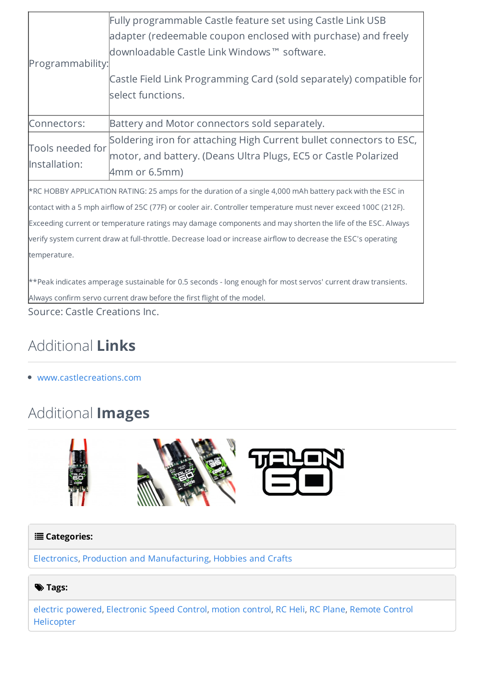| Programmability:                                                                                                                                                                                                                                                                                                                                                                                                                                                            | Fully programmable Castle feature set using Castle Link USB<br>adapter (redeemable coupon enclosed with purchase) and freely<br>downloadable Castle Link Windows™ software.<br>Castle Field Link Programming Card (sold separately) compatible for<br>select functions. |  |
|-----------------------------------------------------------------------------------------------------------------------------------------------------------------------------------------------------------------------------------------------------------------------------------------------------------------------------------------------------------------------------------------------------------------------------------------------------------------------------|-------------------------------------------------------------------------------------------------------------------------------------------------------------------------------------------------------------------------------------------------------------------------|--|
| Connectors:                                                                                                                                                                                                                                                                                                                                                                                                                                                                 | Battery and Motor connectors sold separately.                                                                                                                                                                                                                           |  |
| Tools needed for<br>Installation:                                                                                                                                                                                                                                                                                                                                                                                                                                           | Soldering iron for attaching High Current bullet connectors to ESC,<br>motor, and battery. (Deans Ultra Plugs, EC5 or Castle Polarized<br>4mm or 6.5mm)                                                                                                                 |  |
| *RC HOBBY APPLICATION RATING: 25 amps for the duration of a single 4,000 mAh battery pack with the ESC in<br>contact with a 5 mph airflow of 25C (77F) or cooler air. Controller temperature must never exceed 100C (212F).<br>Exceeding current or temperature ratings may damage components and may shorten the life of the ESC. Always<br>verify system current draw at full-throttle. Decrease load or increase airflow to decrease the ESC's operating<br>temperature. |                                                                                                                                                                                                                                                                         |  |
| **Peak indicates amperage sustainable for 0.5 seconds - long enough for most servos' current draw transients.<br>Always confirm servo current draw before the first flight of the model.                                                                                                                                                                                                                                                                                    |                                                                                                                                                                                                                                                                         |  |

Source: Castle Creations Inc.

## Additional **Links**

[www.castlecreations.com](http://www.castlecreations.com/en/talon-2/talon-60-6s-25-2v-60-amp-esc-with-20-amp-bec-010-0163-00)

### Additional **Images**



#### **Categories:**

[Electronics](https://www.newswire.com/browse/beat/industries-electronics), Production and [Manufacturing](https://www.newswire.com/browse/beat/business-production-and-manufacturing), [Hobbies](https://www.newswire.com/browse/beat/arts-and-entertainments-hobbies-and-crafts) and Crafts

#### $\blacktriangleright$  Tags:

electric [powered](https://www.newswire.com/browse/tag/electric-powered), [Electronic](https://www.newswire.com/browse/tag/electronic-speed-control) Speed Control, motion [control](https://www.newswire.com/browse/tag/motion-control), RC [Heli](https://www.newswire.com/browse/tag/rc-heli), RC [Plane,](https://www.newswire.com/browse/tag/rc-plane) Remote Control [Helicopter](https://www.newswire.com/browse/tag/remote-control-helicopter)